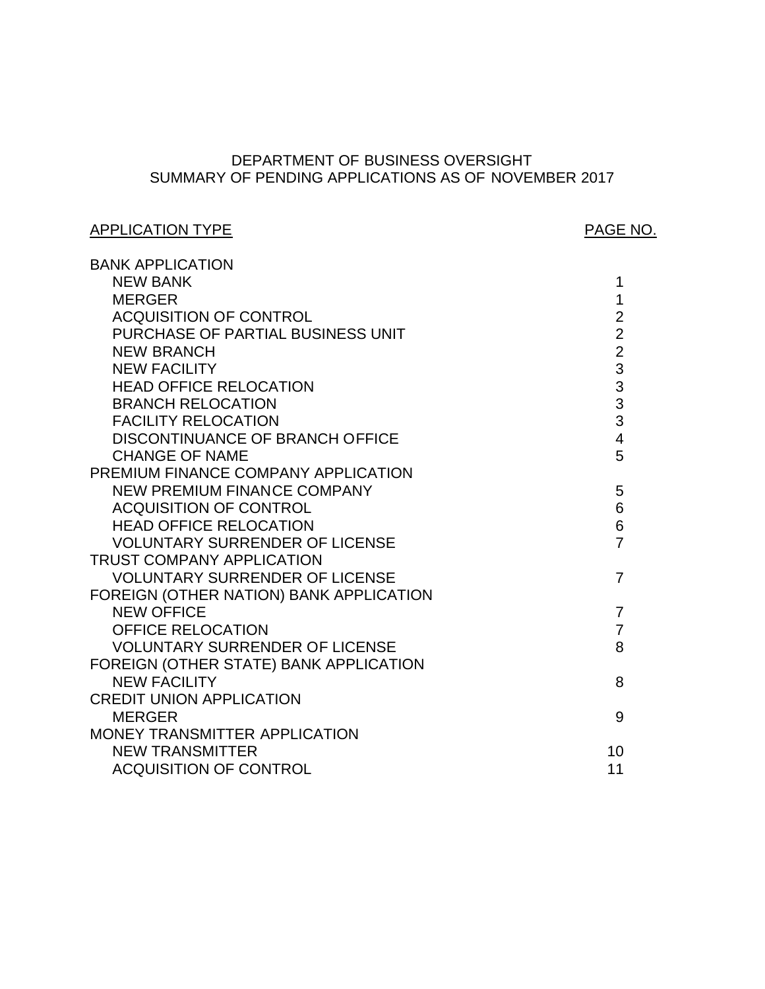# SUMMARY OF PENDING APPLICATIONS AS OF NOVEMBER 2017 DEPARTMENT OF BUSINESS OVERSIGHT

# APPLICATION TYPE APPLICATION TYPE

| <b>BANK APPLICATION</b>                 |                         |
|-----------------------------------------|-------------------------|
| <b>NEW BANK</b>                         | 1                       |
| <b>MERGER</b>                           | 1                       |
| <b>ACQUISITION OF CONTROL</b>           | $\overline{2}$          |
| PURCHASE OF PARTIAL BUSINESS UNIT       | $\overline{2}$          |
| <b>NEW BRANCH</b>                       | $\overline{2}$          |
| <b>NEW FACILITY</b>                     | 3                       |
| <b>HEAD OFFICE RELOCATION</b>           | 3                       |
| <b>BRANCH RELOCATION</b>                | 3                       |
| <b>FACILITY RELOCATION</b>              | 3                       |
| <b>DISCONTINUANCE OF BRANCH OFFICE</b>  | $\overline{\mathbf{4}}$ |
| <b>CHANGE OF NAME</b>                   | 5                       |
| PREMIUM FINANCE COMPANY APPLICATION     |                         |
| <b>NEW PREMIUM FINANCE COMPANY</b>      | 5                       |
| <b>ACQUISITION OF CONTROL</b>           | 6                       |
| <b>HEAD OFFICE RELOCATION</b>           | 6                       |
| <b>VOLUNTARY SURRENDER OF LICENSE</b>   | $\overline{7}$          |
| <b>TRUST COMPANY APPLICATION</b>        |                         |
| <b>VOLUNTARY SURRENDER OF LICENSE</b>   | 7                       |
| FOREIGN (OTHER NATION) BANK APPLICATION |                         |
| <b>NEW OFFICE</b>                       | $\overline{7}$          |
| <b>OFFICE RELOCATION</b>                | $\overline{7}$          |
| <b>VOLUNTARY SURRENDER OF LICENSE</b>   | 8                       |
| FOREIGN (OTHER STATE) BANK APPLICATION  |                         |
| <b>NEW FACILITY</b>                     | 8                       |
| <b>CREDIT UNION APPLICATION</b>         |                         |
| <b>MERGER</b>                           | 9                       |
| MONEY TRANSMITTER APPLICATION           |                         |
| <b>NEW TRANSMITTER</b>                  | 10                      |
| <b>ACQUISITION OF CONTROL</b>           | 11                      |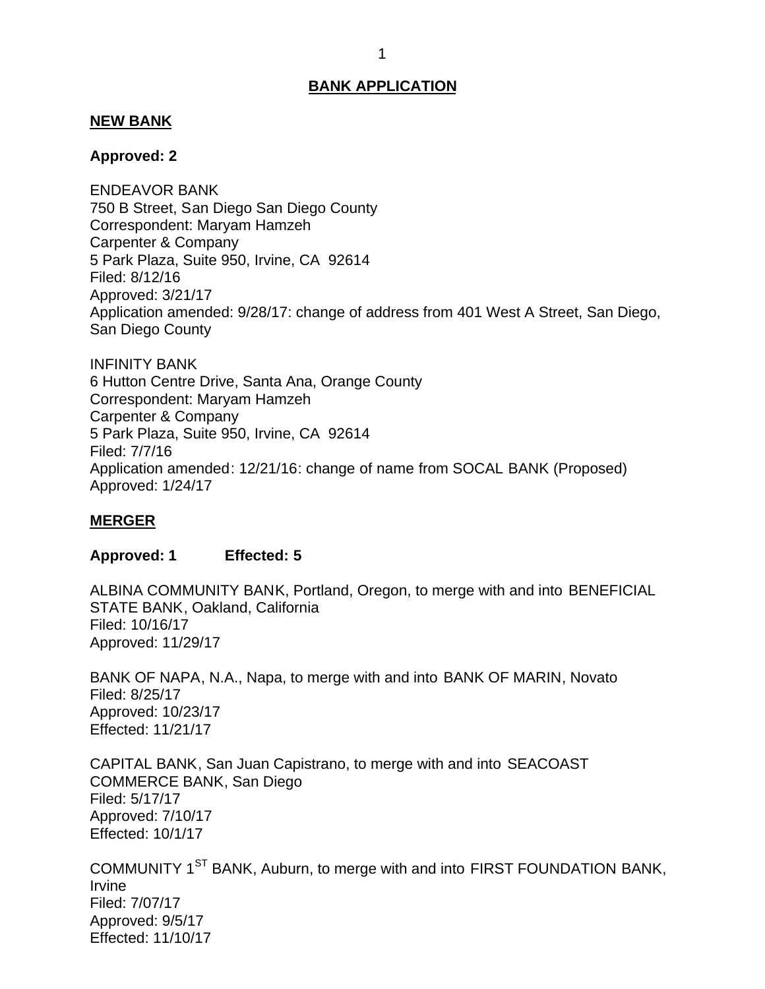#### <span id="page-1-0"></span>**NEW BANK**

#### **Approved: 2**

 750 B Street, San Diego San Diego County Correspondent: Maryam Hamzeh Carpenter & Company 5 Park Plaza, Suite 950, Irvine, CA 92614 Application amended: 9/28/17: change of address from 401 West A Street, San Diego, San Diego County ENDEAVOR BANK Filed: 8/12/16 Approved: 3/21/17

 6 Hutton Centre Drive, Santa Ana, Orange County Correspondent: Maryam Hamzeh Carpenter & Company 5 Park Plaza, Suite 950, Irvine, CA 92614 INFINITY BANK Filed: 7/7/16 Application amended: 12/21/16: change of name from SOCAL BANK (Proposed) Approved: 1/24/17

### **MERGER**

#### **Approved: 1 Effected: 5**

 ALBINA COMMUNITY BANK, Portland, Oregon, to merge with and into BENEFICIAL STATE BANK, Oakland, California Filed: 10/16/17 Approved: 11/29/17

 BANK OF NAPA, N.A., Napa, to merge with and into BANK OF MARIN, Novato Filed: 8/25/17 Approved: 10/23/17 Effected: 11/21/17

 CAPITAL BANK, San Juan Capistrano, to merge with and into SEACOAST COMMERCE BANK, San Diego Filed: 5/17/17 Approved: 7/10/17 Effected: 10/1/17

COMMUNITY 1<sup>ST</sup> BANK, Auburn, to merge with and into FIRST FOUNDATION BANK, Irvine Filed: 7/07/17 Approved: 9/5/17 Effected: 11/10/17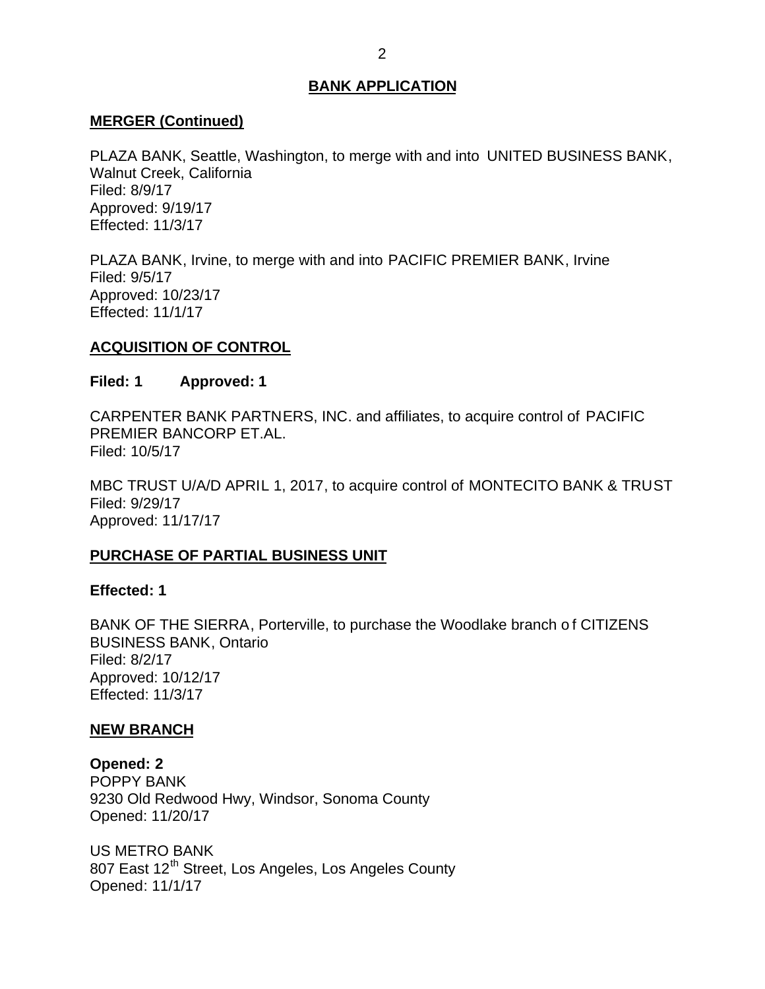### <span id="page-2-0"></span>**MERGER (Continued)**

 PLAZA BANK, Seattle, Washington, to merge with and into UNITED BUSINESS BANK, Walnut Creek, California Filed: 8/9/17 Approved: 9/19/17 Effected: 11/3/17

 PLAZA BANK, Irvine, to merge with and into PACIFIC PREMIER BANK, Irvine Filed: 9/5/17 Approved: 10/23/17 Effected: 11/1/17

### **ACQUISITION OF CONTROL**

#### **Filed: 1 Approved: 1**

 CARPENTER BANK PARTNERS, INC. and affiliates, to acquire control of PACIFIC PREMIER BANCORP ET.AL. Filed: 10/5/17

 MBC TRUST U/A/D APRIL 1, 2017, to acquire control of MONTECITO BANK & TRUST Filed: 9/29/17 Approved: 11/17/17

### **PURCHASE OF PARTIAL BUSINESS UNIT**

#### **Effected: 1**

 BANK OF THE SIERRA, Porterville, to purchase the Woodlake branch o f CITIZENS BUSINESS BANK, Ontario Filed: 8/2/17 Approved: 10/12/17 Effected: 11/3/17

### **NEW BRANCH**

 9230 Old Redwood Hwy, Windsor, Sonoma County **Opened: 2**  POPPY BANK Opened: 11/20/17

 US METRO BANK 807 East 12<sup>th</sup> Street, Los Angeles, Los Angeles County Opened: 11/1/17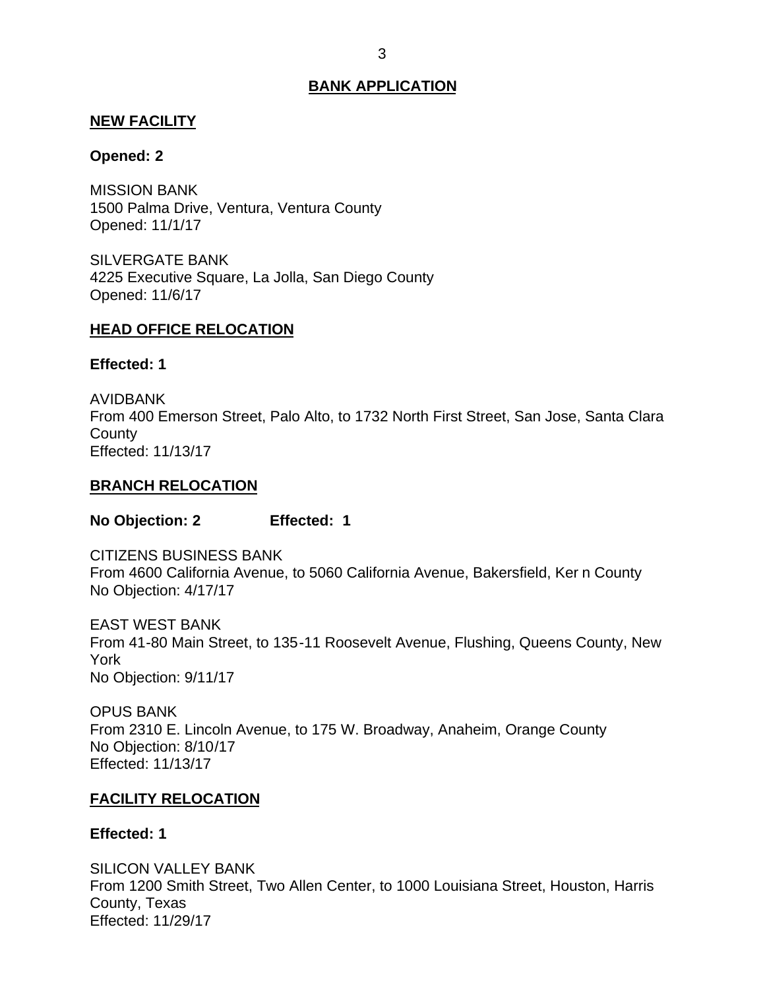### <span id="page-3-0"></span>**NEW FACILITY**

## **Opened: 2**

 1500 Palma Drive, Ventura, Ventura County MISSION BANK Opened: 11/1/17

 4225 Executive Square, La Jolla, San Diego County SILVERGATE BANK Opened: 11/6/17

## **HEAD OFFICE RELOCATION**

**Effected: 1** 

 From 400 Emerson Street, Palo Alto, to 1732 North First Street, San Jose, Santa Clara AVIDBANK **County** Effected: 11/13/17

## **BRANCH RELOCATION**

**No Objection: 2 Effected: 1** 

 From 4600 California Avenue, to 5060 California Avenue, Bakersfield, Ker n County No Objection: 4/17/17 CITIZENS BUSINESS BANK

 EAST WEST BANK From 41-80 Main Street, to 135-11 Roosevelt Avenue, Flushing, Queens County, New No Objection: 9/11/17 York

 From 2310 E. Lincoln Avenue, to 175 W. Broadway, Anaheim, Orange County No Objection: 8/10/17 OPUS BANK Effected: 11/13/17

# **FACILITY RELOCATION**

### **Effected: 1**

 From 1200 Smith Street, Two Allen Center, to 1000 Louisiana Street, Houston, Harris SILICON VALLEY BANK County, Texas Effected: 11/29/17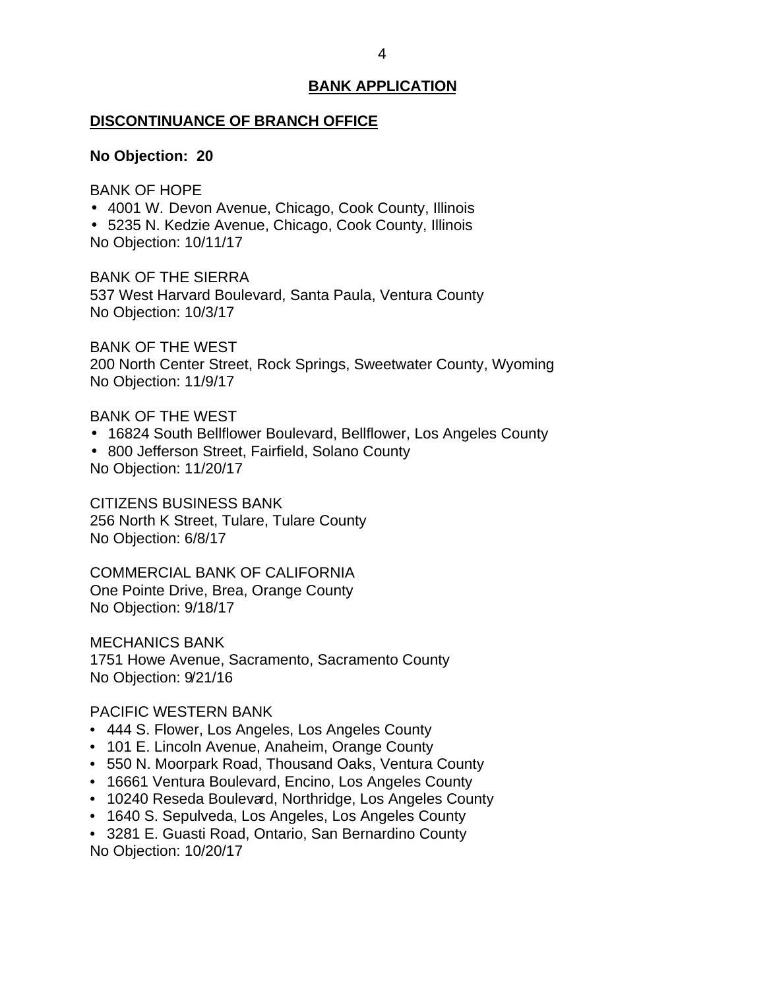#### <span id="page-4-0"></span>**DISCONTINUANCE OF BRANCH OFFICE**

#### **No Objection: 20**

BANK OF HOPE

- 4001 W. Devon Avenue, Chicago, Cook County, Illinois
- 5235 N. Kedzie Avenue, Chicago, Cook County, Illinois No Objection: 10/11/17

 BANK OF THE SIERRA 537 West Harvard Boulevard, Santa Paula, Ventura County No Objection: 10/3/17

 BANK OF THE WEST 200 North Center Street, Rock Springs, Sweetwater County, Wyoming No Objection: 11/9/17

BANK OF THE WEST

- 16824 South Bellflower Boulevard, Bellflower, Los Angeles County
- 800 Jefferson Street, Fairfield, Solano County No Objection: 11/20/17

 256 North K Street, Tulare, Tulare County No Objection: 6/8/17 CITIZENS BUSINESS BANK

 COMMERCIAL BANK OF CALIFORNIA One Pointe Drive, Brea, Orange County No Objection: 9/18/17

 1751 Howe Avenue, Sacramento, Sacramento County No Objection: 9/21/16 MECHANICS BANK

### PACIFIC WESTERN BANK

- 444 S. Flower, Los Angeles, Los Angeles County
- 101 E. Lincoln Avenue, Anaheim, Orange County
- 550 N. Moorpark Road, Thousand Oaks, Ventura County
- 16661 Ventura Boulevard, Encino, Los Angeles County
- 10240 Reseda Boulevard, Northridge, Los Angeles County
- 1640 S. Sepulveda, Los Angeles, Los Angeles County
- • 3281 E. Guasti Road, Ontario, San Bernardino County No Objection: 10/20/17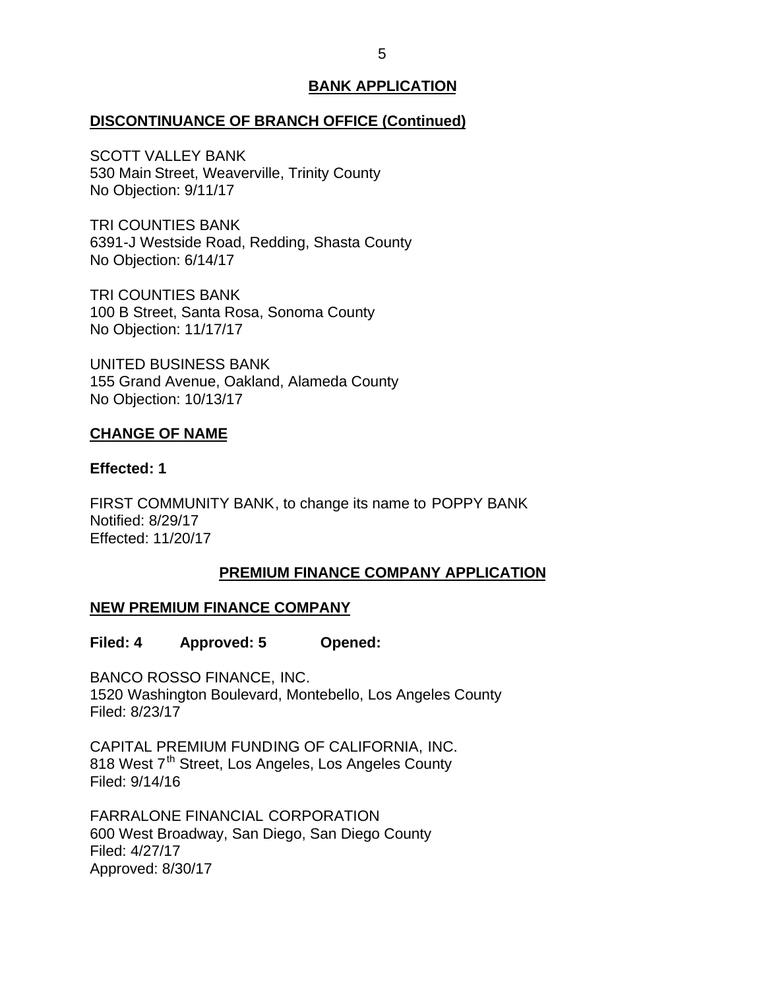## <span id="page-5-0"></span>**DISCONTINUANCE OF BRANCH OFFICE (Continued)**

 530 Main Street, Weaverville, Trinity County No Objection: 9/11/17 SCOTT VALLEY BANK

 6391-J Westside Road, Redding, Shasta County No Objection: 6/14/17 TRI COUNTIES BANK

 100 B Street, Santa Rosa, Sonoma County No Objection: 11/17/17 TRI COUNTIES BANK

 155 Grand Avenue, Oakland, Alameda County No Objection: 10/13/17 UNITED BUSINESS BANK

### **CHANGE OF NAME**

### **Effected: 1**

 FIRST COMMUNITY BANK, to change its name to POPPY BANK Notified: 8/29/17 Effected: 11/20/17

# **PREMIUM FINANCE COMPANY APPLICATION**

# **NEW PREMIUM FINANCE COMPANY**

**Filed: 4 Approved: 5 Opened:** 

 BANCO ROSSO FINANCE, INC. 1520 Washington Boulevard, Montebello, Los Angeles County Filed: 8/23/17

 CAPITAL PREMIUM FUNDING OF CALIFORNIA, INC. 818 West 7<sup>th</sup> Street, Los Angeles, Los Angeles County Filed: 9/14/16

 600 West Broadway, San Diego, San Diego County FARRALONE FINANCIAL CORPORATION Filed: 4/27/17 Approved: 8/30/17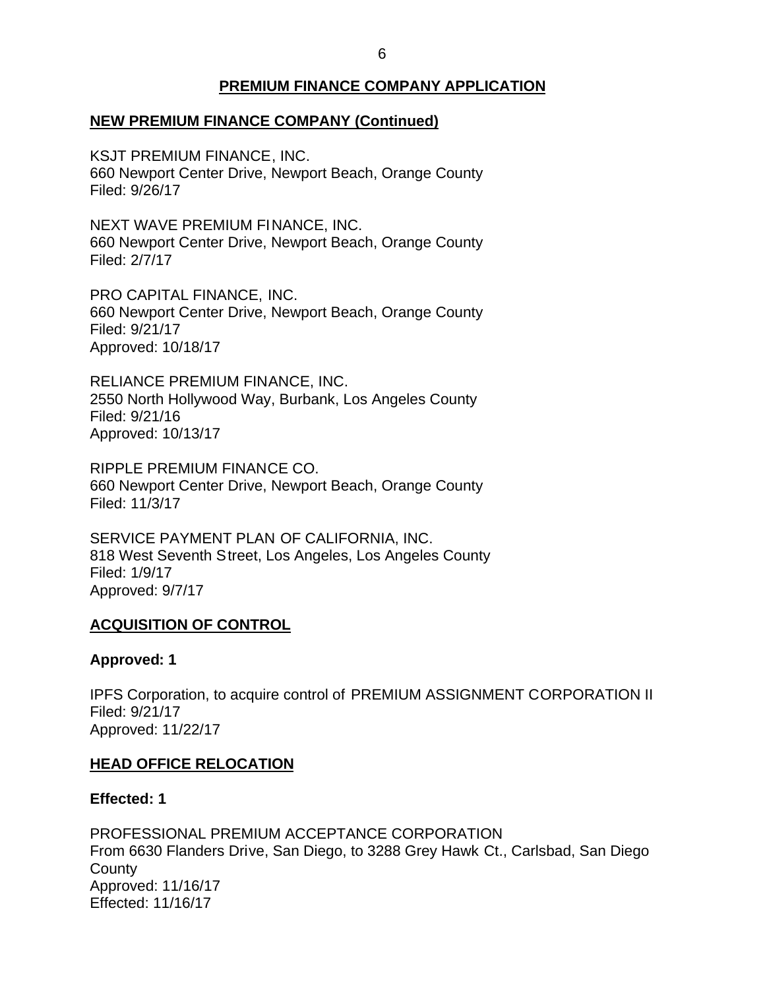# **PREMIUM FINANCE COMPANY APPLICATION**

# <span id="page-6-0"></span> **NEW PREMIUM FINANCE COMPANY (Continued)**

 KSJT PREMIUM FINANCE, INC. 660 Newport Center Drive, Newport Beach, Orange County Filed: 9/26/17

 NEXT WAVE PREMIUM FINANCE, INC. 660 Newport Center Drive, Newport Beach, Orange County Filed: 2/7/17

 PRO CAPITAL FINANCE, INC. 660 Newport Center Drive, Newport Beach, Orange County Filed: 9/21/17 Approved: 10/18/17

 RELIANCE PREMIUM FINANCE, INC. 2550 North Hollywood Way, Burbank, Los Angeles County Filed: 9/21/16 Approved: 10/13/17

 RIPPLE PREMIUM FINANCE CO. 660 Newport Center Drive, Newport Beach, Orange County Filed: 11/3/17

 SERVICE PAYMENT PLAN OF CALIFORNIA, INC. 818 West Seventh Street, Los Angeles, Los Angeles County Filed: 1/9/17 Approved: 9/7/17

### **ACQUISITION OF CONTROL**

### **Approved: 1**

 IPFS Corporation, to acquire control of PREMIUM ASSIGNMENT CORPORATION II Filed: 9/21/17 Approved: 11/22/17

### **HEAD OFFICE RELOCATION**

### **Effected: 1**

 PROFESSIONAL PREMIUM ACCEPTANCE CORPORATION From 6630 Flanders Drive, San Diego, to 3288 Grey Hawk Ct., Carlsbad, San Diego **County** Approved: 11/16/17 Effected: 11/16/17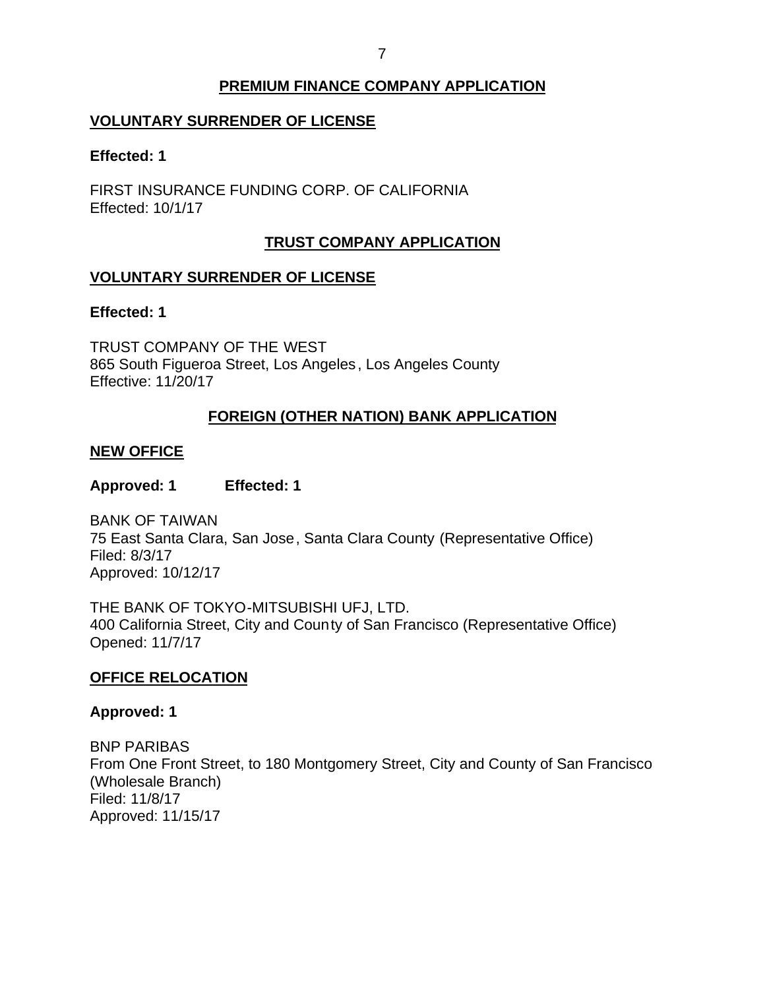#### 7

# **PREMIUM FINANCE COMPANY APPLICATION**

# <span id="page-7-0"></span>**VOLUNTARY SURRENDER OF LICENSE**

#### **Effected: 1**

 FIRST INSURANCE FUNDING CORP. OF CALIFORNIA Effected: 10/1/17

## **TRUST COMPANY APPLICATION**

## **VOLUNTARY SURRENDER OF LICENSE**

#### **Effected: 1**

 865 South Figueroa Street, Los Angeles, Los Angeles County TRUST COMPANY OF THE WEST Effective: 11/20/17

# **FOREIGN (OTHER NATION) BANK APPLICATION**

#### **NEW OFFICE**

#### **Approved: 1 Effected: 1**

 75 East Santa Clara, San Jose, Santa Clara County (Representative Office) BANK OF TAIWAN Filed: 8/3/17 Approved: 10/12/17

 THE BANK OF TOKYO-MITSUBISHI UFJ, LTD. 400 California Street, City and County of San Francisco (Representative Office) Opened: 11/7/17

### **OFFICE RELOCATION**

#### **Approved: 1**

 From One Front Street, to 180 Montgomery Street, City and County of San Francisco BNP PARIBAS (Wholesale Branch) Filed: 11/8/17 Approved: 11/15/17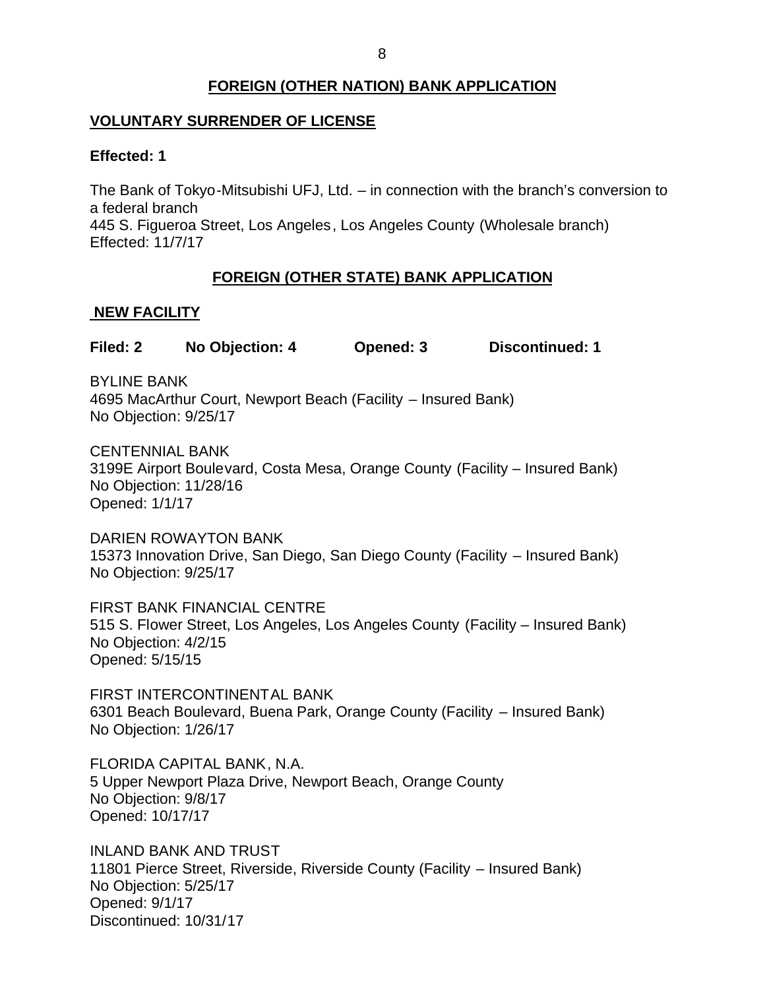# **FOREIGN (OTHER NATION) BANK APPLICATION**

# <span id="page-8-0"></span>**VOLUNTARY SURRENDER OF LICENSE**

## **Effected: 1**

 The Bank of Tokyo-Mitsubishi UFJ, Ltd. – in connection with the branch's conversion to a federal branch 445 S. Figueroa Street, Los Angeles, Los Angeles County (Wholesale branch) Effected: 11/7/17

# **FOREIGN (OTHER STATE) BANK APPLICATION**

## **NEW FACILITY**

**Filed: 2 No Objection: 4 Opened: 3 Discontinued: 1** 

 4695 MacArthur Court, Newport Beach (Facility – Insured Bank) BYLINE BANK No Objection: 9/25/17

 3199E Airport Boulevard, Costa Mesa, Orange County (Facility – Insured Bank) No Objection: 11/28/16 CENTENNIAL BANK Opened: 1/1/17

 15373 Innovation Drive, San Diego, San Diego County (Facility – Insured Bank) No Objection: 9/25/17 DARIEN ROWAYTON BANK

 FIRST BANK FINANCIAL CENTRE 515 S. Flower Street, Los Angeles, Los Angeles County (Facility – Insured Bank) No Objection: 4/2/15 Opened: 5/15/15

 6301 Beach Boulevard, Buena Park, Orange County (Facility – Insured Bank) No Objection: 1/26/17 FIRST INTERCONTINENTAL BANK

 FLORIDA CAPITAL BANK, N.A. 5 Upper Newport Plaza Drive, Newport Beach, Orange County No Objection: 9/8/17 Opened: 10/17/17

 11801 Pierce Street, Riverside, Riverside County (Facility – Insured Bank) No Objection: 5/25/17 INLAND BANK AND TRUST Opened: 9/1/17 Discontinued: 10/31/17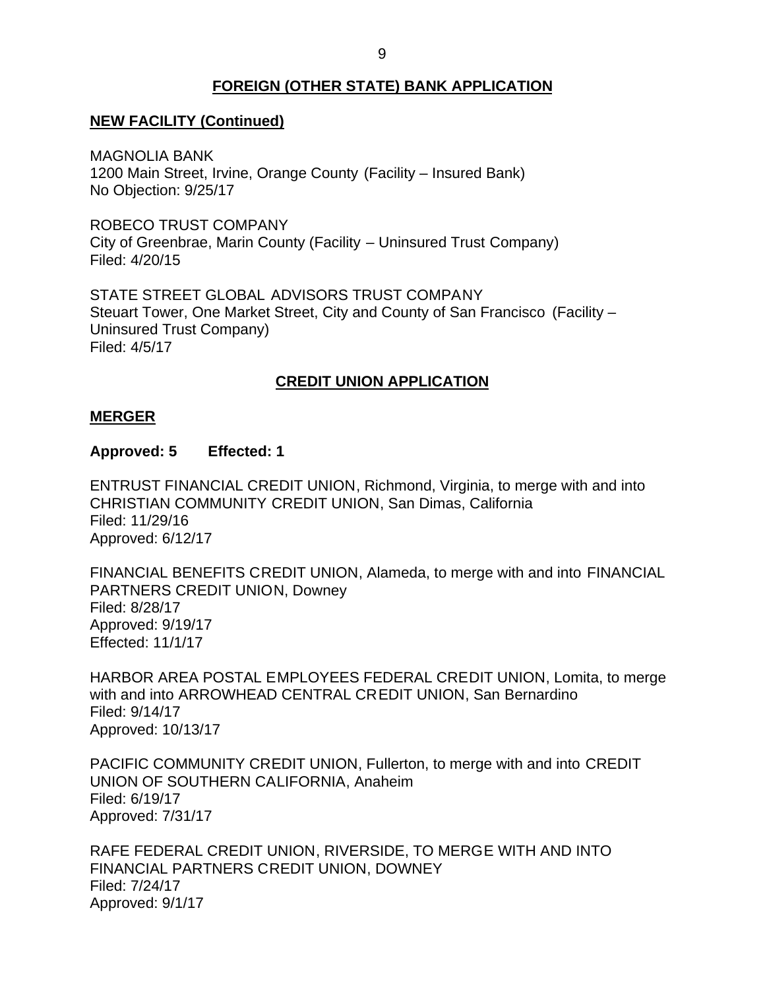# **FOREIGN (OTHER STATE) BANK APPLICATION**

# <span id="page-9-0"></span> **NEW FACILITY (Continued)**

 1200 Main Street, Irvine, Orange County (Facility – Insured Bank) No Objection: 9/25/17 MAGNOLIA BANK

 ROBECO TRUST COMPANY City of Greenbrae, Marin County (Facility – Uninsured Trust Company) Filed: 4/20/15

 STATE STREET GLOBAL ADVISORS TRUST COMPANY Steuart Tower, One Market Street, City and County of San Francisco (Facility – Uninsured Trust Company) Filed: 4/5/17

## **CREDIT UNION APPLICATION**

### **MERGER**

#### **Approved: 5 Effected: 1**

 ENTRUST FINANCIAL CREDIT UNION, Richmond, Virginia, to merge with and into CHRISTIAN COMMUNITY CREDIT UNION, San Dimas, California Filed: 11/29/16 Approved: 6/12/17

 FINANCIAL BENEFITS CREDIT UNION, Alameda, to merge with and into FINANCIAL PARTNERS CREDIT UNION, Downey Filed: 8/28/17 Approved: 9/19/17 Effected: 11/1/17

 HARBOR AREA POSTAL EMPLOYEES FEDERAL CREDIT UNION, Lomita, to merge with and into ARROWHEAD CENTRAL CREDIT UNION, San Bernardino Filed: 9/14/17 Approved: 10/13/17

 PACIFIC COMMUNITY CREDIT UNION, Fullerton, to merge with and into CREDIT UNION OF SOUTHERN CALIFORNIA, Anaheim Filed: 6/19/17 Approved: 7/31/17

 RAFE FEDERAL CREDIT UNION, RIVERSIDE, TO MERGE WITH AND INTO FINANCIAL PARTNERS CREDIT UNION, DOWNEY Filed: 7/24/17 Approved: 9/1/17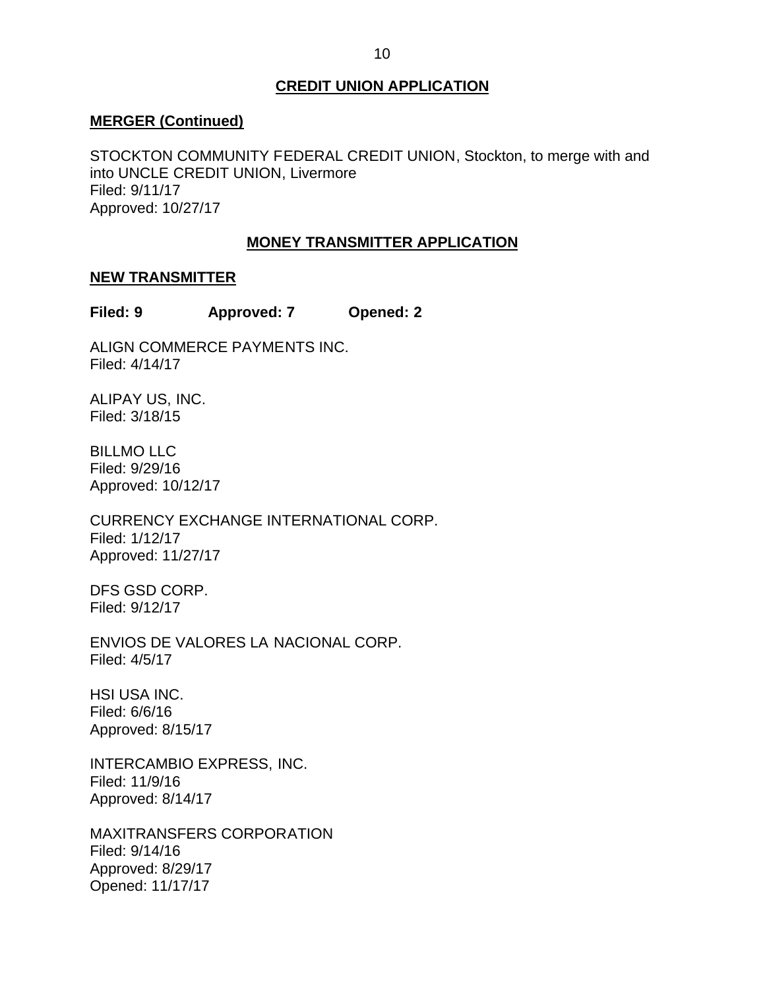## **CREDIT UNION APPLICATION**

#### <span id="page-10-0"></span>**MERGER (Continued)**

 STOCKTON COMMUNITY FEDERAL CREDIT UNION, Stockton, to merge with and into UNCLE CREDIT UNION, Livermore Filed: 9/11/17 Approved: 10/27/17

### **MONEY TRANSMITTER APPLICATION**

### **NEW TRANSMITTER**

**Filed: 9 Approved: 7 Opened: 2** 

ALIGN COMMERCE PAYMENTS INC. Filed: 4/14/17

ALIPAY US, INC. Filed: 3/18/15

BILLMO LLC Filed: 9/29/16 Approved: 10/12/17

CURRENCY EXCHANGE INTERNATIONAL CORP. Filed: 1/12/17 Approved: 11/27/17

DFS GSD CORP. Filed: 9/12/17

 ENVIOS DE VALORES LA NACIONAL CORP. Filed: 4/5/17

 HSI USA INC. Filed: 6/6/16 Approved: 8/15/17

INTERCAMBIO EXPRESS, INC. Filed: 11/9/16 Approved: 8/14/17

MAXITRANSFERS CORPORATION Filed: 9/14/16 Approved: 8/29/17 Opened: 11/17/17